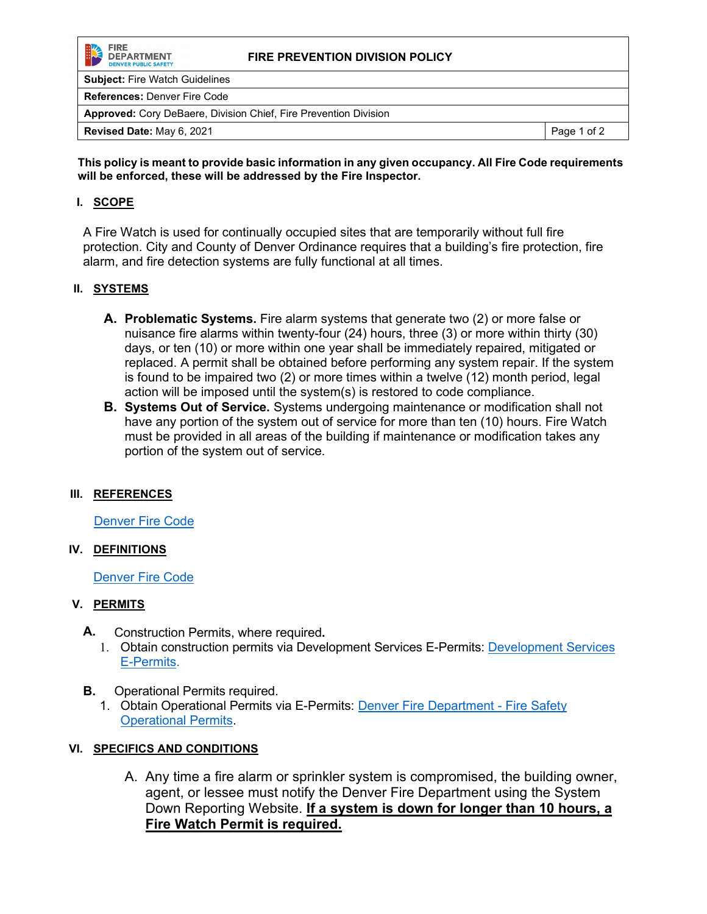

### **FIRE PREVENTION DIVISION POLICY**

**Subject:** Fire Watch Guidelines

**References:** Denver Fire Code

**Approved:** Cory DeBaere, Division Chief, Fire Prevention Division

**This policy is meant to provide basic information in any given occupancy. All Fire Code requirements will be enforced, these will be addressed by the Fire Inspector.**

# **I. SCOPE**

A Fire Watch is used for continually occupied sites that are temporarily without full fire protection. City and County of Denver Ordinance requires that a building's fire protection, fire alarm, and fire detection systems are fully functional at all times.

# **II. SYSTEMS**

- **A. Problematic Systems.** Fire alarm systems that generate two (2) or more false or nuisance fire alarms within twenty-four (24) hours, three (3) or more within thirty (30) days, or ten (10) or more within one year shall be immediately repaired, mitigated or replaced. A permit shall be obtained before performing any system repair. If the system is found to be impaired two (2) or more times within a twelve (12) month period, legal action will be imposed until the system(s) is restored to code compliance.
- **B. Systems Out of Service.** Systems undergoing maintenance or modification shall not have any portion of the system out of service for more than ten (10) hours. Fire Watch must be provided in all areas of the building if maintenance or modification takes any portion of the system out of service.

### **III. REFERENCES**

[Denver Fire Code](https://www.denvergov.org/Government/Departments/Community-Planning-and-Development/Building-Codes-Policies-and-Guides)

### **IV. DEFINITIONS**

[Denver Fire Code](https://www.denvergov.org/Government/Departments/Community-Planning-and-Development/Building-Codes-Policies-and-Guides)

### **V. PERMITS**

- **A.** Construction Permits, where required**.**
	- 1. Obtain construction permits via [Development Services](https://www.denvergov.org/content/denvergov/en/denver-development-services.html) E-Permits: Development Services [E-Permits.](https://www.denvergov.org/content/denvergov/en/denver-development-services.html)
- **B.** Operational Permits required.
	- 1. Obtain Operational Permits via E-Permits: [Denver Fire Department -](https://www.denvergov.org/content/denvergov/en/fire-department-home/permits-licensing/fire-safety-permits.html) Fire Safety [Operational Permits.](https://www.denvergov.org/content/denvergov/en/fire-department-home/permits-licensing/fire-safety-permits.html)

# **VI. SPECIFICS AND CONDITIONS**

A. Any time a fire alarm or sprinkler system is compromised, the building owner, agent, or lessee must notify the Denver Fire Department using the System Down Reporting Website. **If a system is down for longer than 10 hours, a Fire Watch Permit is required.**